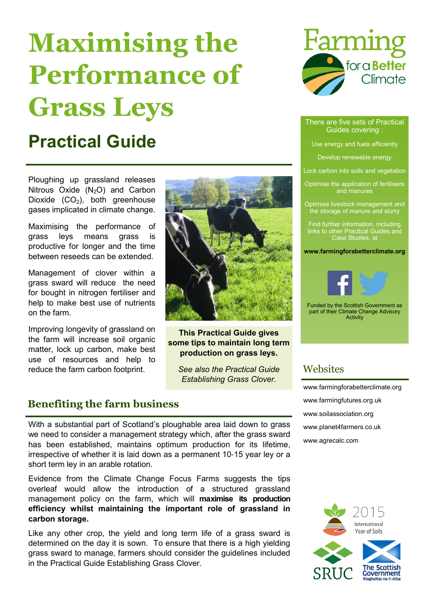# Maximising the Performance of Grass Leys

# Practical Guide

Ploughing up grassland releases Nitrous Oxide  $(N_2O)$  and Carbon Dioxide  $(CO<sub>2</sub>)$ , both greenhouse gases implicated in climate change.

Maximising the performance of grass leys means grass is productive for longer and the time between reseeds can be extended.

Management of clover within a grass sward will reduce the need for bought in nitrogen fertiliser and help to make best use of nutrients on the farm.

Improving longevity of grassland on the farm will increase soil organic matter, lock up carbon, make best use of resources and help to reduce the farm carbon footprint.



### This Practical Guide gives some tips to maintain long term production on grass leys.

See also the Practical Guide Establishing Grass Clover.

### Benefiting the farm business

With a substantial part of Scotland's ploughable area laid down to grass we need to consider a management strategy which, after the grass sward has been established, maintains optimum production for its lifetime, irrespective of whether it is laid down as a permanent 10-15 year ley or a short term ley in an arable rotation.

Evidence from the Climate Change Focus Farms suggests the tips overleaf would allow the introduction of a structured grassland management policy on the farm, which will maximise its production efficiency whilst maintaining the important role of grassland in carbon storage.

Like any other crop, the yield and long term life of a grass sward is determined on the day it is sown. To ensure that there is a high yielding grass sward to manage, farmers should consider the guidelines included in the Practical Guide Establishing Grass Clover.



#### There are five sets of Practical Guides covering :

Use energy and fuels efficiently

Develop renewable energy

Lock carbon into soils and vegetation

Optimise the application of fertilisers and manures

Optimise livestock management and the storage of manure and slurry

Find further information, including links to other Practical Guides and Case Studies, at

www.farmingforabetterclimate.org



Funded by the Scottish Government as part of their Climate Change Advisory Activity

### **Websites**

www.farmingforabetterclimate.org www.farmingfutures.org.uk www.soilassociation.org www.planet4farmers.co.uk www.agrecalc.com